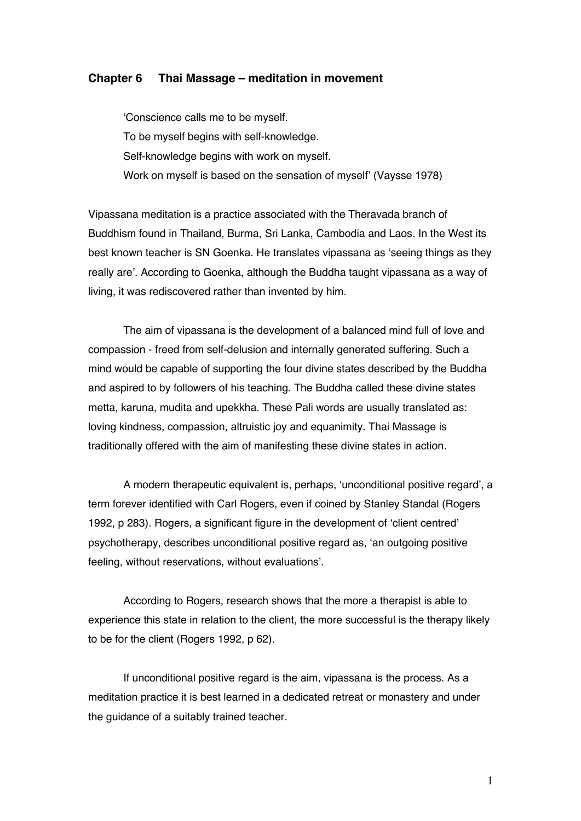#### **Chapter 6 Thai Massage – meditation in movement**

'Conscience calls me to be myself. To be myself begins with self-knowledge. Self-knowledge begins with work on myself. Work on myself is based on the sensation of myself' (Vaysse 1978)

Vipassana meditation is a practice associated with the Theravada branch of Buddhism found in Thailand, Burma, Sri Lanka, Cambodia and Laos. In the West its best known teacher is SN Goenka. He translates vipassana as 'seeing things as they really are'. According to Goenka, although the Buddha taught vipassana as a way of living, it was rediscovered rather than invented by him.

The aim of vipassana is the development of a balanced mind full of love and compassion - freed from self-delusion and internally generated suffering. Such a mind would be capable of supporting the four divine states described by the Buddha and aspired to by followers of his teaching. The Buddha called these divine states metta, karuna, mudita and upekkha. These Pali words are usually translated as: loving kindness, compassion, altruistic joy and equanimity. Thai Massage is traditionally offered with the aim of manifesting these divine states in action.

A modern therapeutic equivalent is, perhaps, 'unconditional positive regard', a term forever identified with Carl Rogers, even if coined by Stanley Standal (Rogers 1992, p 283). Rogers, a significant figure in the development of 'client centred' psychotherapy, describes unconditional positive regard as, 'an outgoing positive feeling, without reservations, without evaluations'.

According to Rogers, research shows that the more a therapist is able to experience this state in relation to the client, the more successful is the therapy likely to be for the client (Rogers 1992, p 62).

If unconditional positive regard is the aim, vipassana is the process. As a meditation practice it is best learned in a dedicated retreat or monastery and under the guidance of a suitably trained teacher.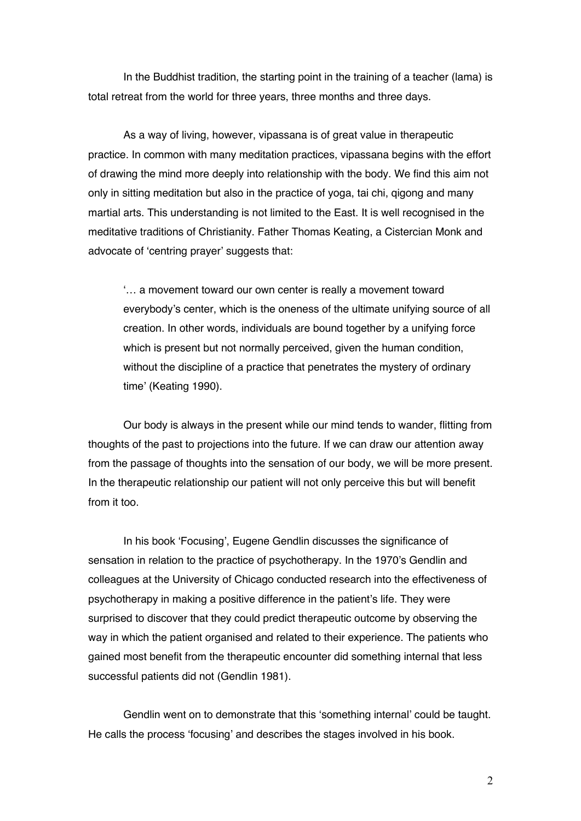In the Buddhist tradition, the starting point in the training of a teacher (lama) is total retreat from the world for three years, three months and three days.

As a way of living, however, vipassana is of great value in therapeutic practice. In common with many meditation practices, vipassana begins with the effort of drawing the mind more deeply into relationship with the body. We find this aim not only in sitting meditation but also in the practice of yoga, tai chi, qigong and many martial arts. This understanding is not limited to the East. It is well recognised in the meditative traditions of Christianity. Father Thomas Keating, a Cistercian Monk and advocate of 'centring prayer' suggests that:

'… a movement toward our own center is really a movement toward everybody's center, which is the oneness of the ultimate unifying source of all creation. In other words, individuals are bound together by a unifying force which is present but not normally perceived, given the human condition, without the discipline of a practice that penetrates the mystery of ordinary time' (Keating 1990).

Our body is always in the present while our mind tends to wander, flitting from thoughts of the past to projections into the future. If we can draw our attention away from the passage of thoughts into the sensation of our body, we will be more present. In the therapeutic relationship our patient will not only perceive this but will benefit from it too.

In his book 'Focusing', Eugene Gendlin discusses the significance of sensation in relation to the practice of psychotherapy. In the 1970's Gendlin and colleagues at the University of Chicago conducted research into the effectiveness of psychotherapy in making a positive difference in the patient's life. They were surprised to discover that they could predict therapeutic outcome by observing the way in which the patient organised and related to their experience. The patients who gained most benefit from the therapeutic encounter did something internal that less successful patients did not (Gendlin 1981).

Gendlin went on to demonstrate that this 'something internal' could be taught. He calls the process 'focusing' and describes the stages involved in his book.

2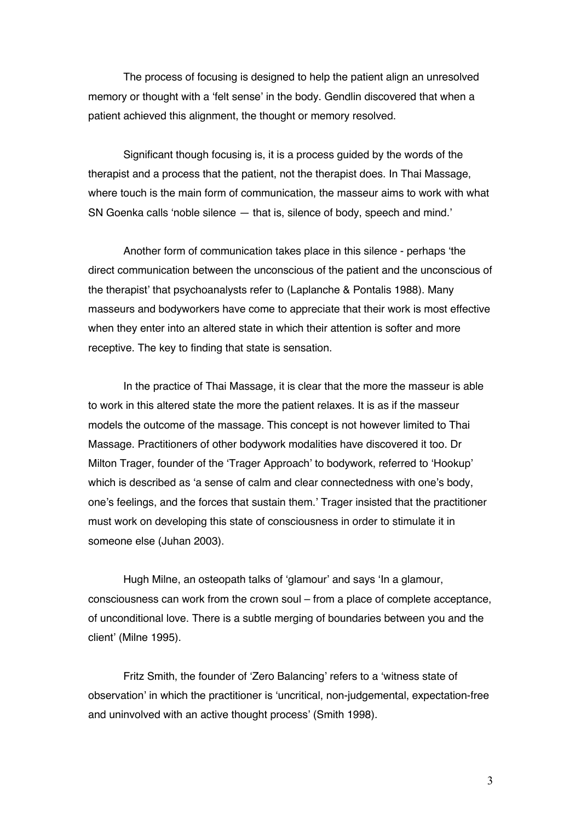The process of focusing is designed to help the patient align an unresolved memory or thought with a 'felt sense' in the body. Gendlin discovered that when a patient achieved this alignment, the thought or memory resolved.

Significant though focusing is, it is a process guided by the words of the therapist and a process that the patient, not the therapist does. In Thai Massage, where touch is the main form of communication, the masseur aims to work with what SN Goenka calls 'noble silence — that is, silence of body, speech and mind.'

Another form of communication takes place in this silence - perhaps 'the direct communication between the unconscious of the patient and the unconscious of the therapist' that psychoanalysts refer to (Laplanche & Pontalis 1988). Many masseurs and bodyworkers have come to appreciate that their work is most effective when they enter into an altered state in which their attention is softer and more receptive. The key to finding that state is sensation.

In the practice of Thai Massage, it is clear that the more the masseur is able to work in this altered state the more the patient relaxes. It is as if the masseur models the outcome of the massage. This concept is not however limited to Thai Massage. Practitioners of other bodywork modalities have discovered it too. Dr Milton Trager, founder of the 'Trager Approach' to bodywork, referred to 'Hookup' which is described as 'a sense of calm and clear connectedness with one's body, one's feelings, and the forces that sustain them.' Trager insisted that the practitioner must work on developing this state of consciousness in order to stimulate it in someone else (Juhan 2003).

Hugh Milne, an osteopath talks of 'glamour' and says 'In a glamour, consciousness can work from the crown soul – from a place of complete acceptance, of unconditional love. There is a subtle merging of boundaries between you and the client' (Milne 1995).

Fritz Smith, the founder of 'Zero Balancing' refers to a 'witness state of observation' in which the practitioner is 'uncritical, non-judgemental, expectation-free and uninvolved with an active thought process' (Smith 1998).

3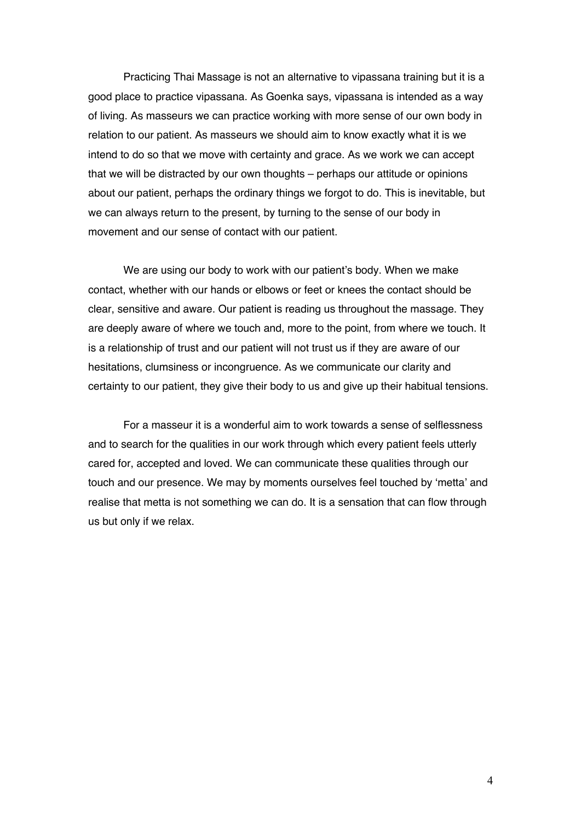Practicing Thai Massage is not an alternative to vipassana training but it is a good place to practice vipassana. As Goenka says, vipassana is intended as a way of living. As masseurs we can practice working with more sense of our own body in relation to our patient. As masseurs we should aim to know exactly what it is we intend to do so that we move with certainty and grace. As we work we can accept that we will be distracted by our own thoughts – perhaps our attitude or opinions about our patient, perhaps the ordinary things we forgot to do. This is inevitable, but we can always return to the present, by turning to the sense of our body in movement and our sense of contact with our patient.

We are using our body to work with our patient's body. When we make contact, whether with our hands or elbows or feet or knees the contact should be clear, sensitive and aware. Our patient is reading us throughout the massage. They are deeply aware of where we touch and, more to the point, from where we touch. It is a relationship of trust and our patient will not trust us if they are aware of our hesitations, clumsiness or incongruence. As we communicate our clarity and certainty to our patient, they give their body to us and give up their habitual tensions.

For a masseur it is a wonderful aim to work towards a sense of selflessness and to search for the qualities in our work through which every patient feels utterly cared for, accepted and loved. We can communicate these qualities through our touch and our presence. We may by moments ourselves feel touched by 'metta' and realise that metta is not something we can do. It is a sensation that can flow through us but only if we relax.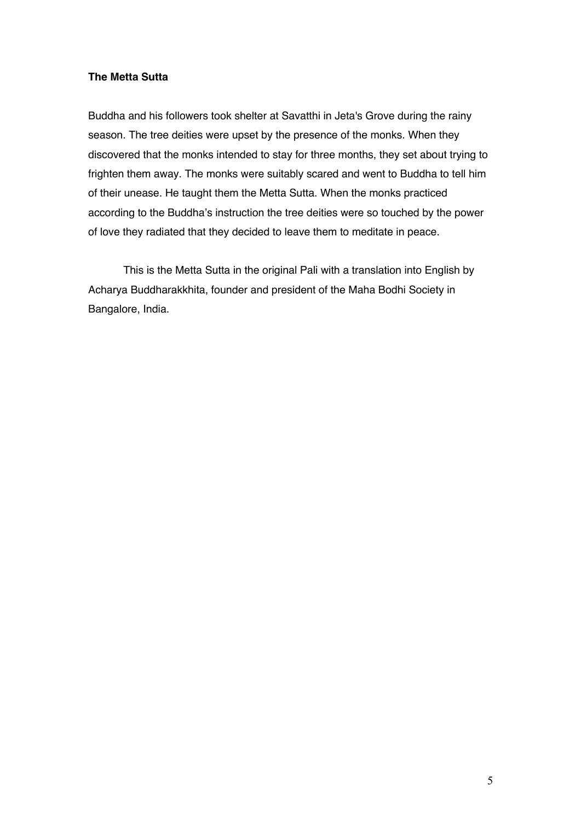### **The Metta Sutta**

Buddha and his followers took shelter at Savatthi in Jeta's Grove during the rainy season. The tree deities were upset by the presence of the monks. When they discovered that the monks intended to stay for three months, they set about trying to frighten them away. The monks were suitably scared and went to Buddha to tell him of their unease. He taught them the Metta Sutta. When the monks practiced according to the Buddha's instruction the tree deities were so touched by the power of love they radiated that they decided to leave them to meditate in peace.

This is the Metta Sutta in the original Pali with a translation into English by Acharya Buddharakkhita, founder and president of the Maha Bodhi Society in Bangalore, India.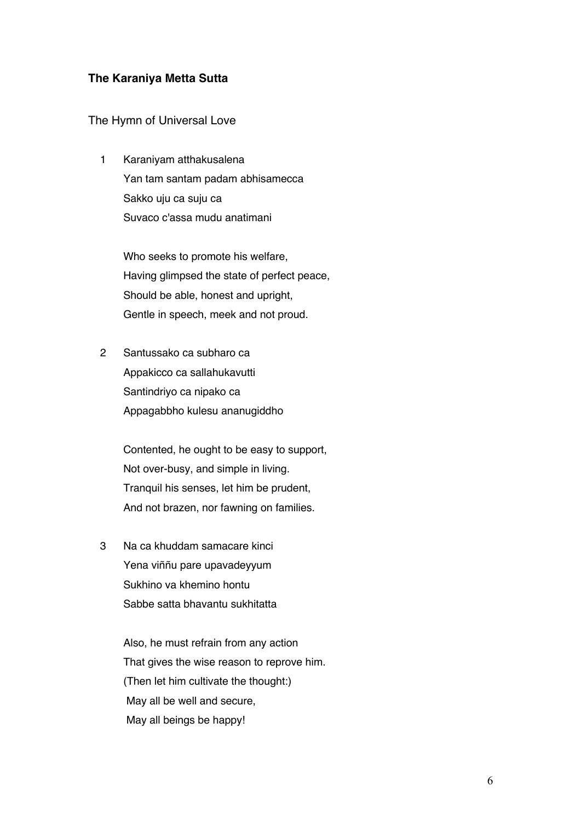## **The Karaniya Metta Sutta**

#### The Hymn of Universal Love

 1 Karaniyam atthakusalena Yan tam santam padam abhisamecca Sakko uju ca suju ca Suvaco c'assa mudu anatimani

> Who seeks to promote his welfare, Having glimpsed the state of perfect peace, Should be able, honest and upright, Gentle in speech, meek and not proud.

 2 Santussako ca subharo ca Appakicco ca sallahukavutti Santindriyo ca nipako ca Appagabbho kulesu ananugiddho

> Contented, he ought to be easy to support, Not over-busy, and simple in living. Tranquil his senses, let him be prudent, And not brazen, nor fawning on families.

 3 Na ca khuddam samacare kinci Yena viññu pare upavadeyyum Sukhino va khemino hontu Sabbe satta bhavantu sukhitatta

> Also, he must refrain from any action That gives the wise reason to reprove him. (Then let him cultivate the thought:) May all be well and secure, May all beings be happy!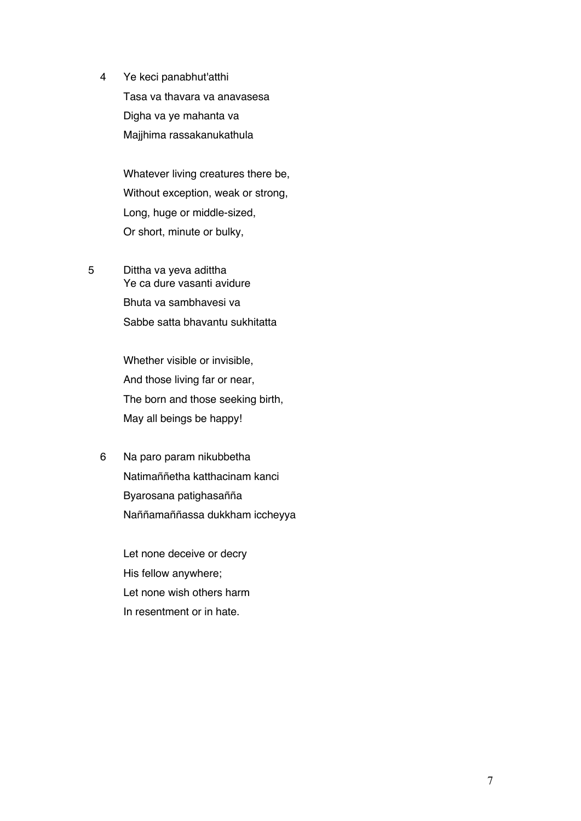4 Ye keci panabhut'atthi Tasa va thavara va anavasesa Digha va ye mahanta va Majjhima rassakanukathula

> Whatever living creatures there be, Without exception, weak or strong, Long, huge or middle-sized, Or short, minute or bulky,

5 Dittha va yeva adittha Ye ca dure vasanti avidure Bhuta va sambhavesi va Sabbe satta bhavantu sukhitatta

> Whether visible or invisible, And those living far or near, The born and those seeking birth, May all beings be happy!

 6 Na paro param nikubbetha Natimaññetha katthacinam kanci Byarosana patighasañña Naññamaññassa dukkham iccheyya

> Let none deceive or decry His fellow anywhere; Let none wish others harm In resentment or in hate.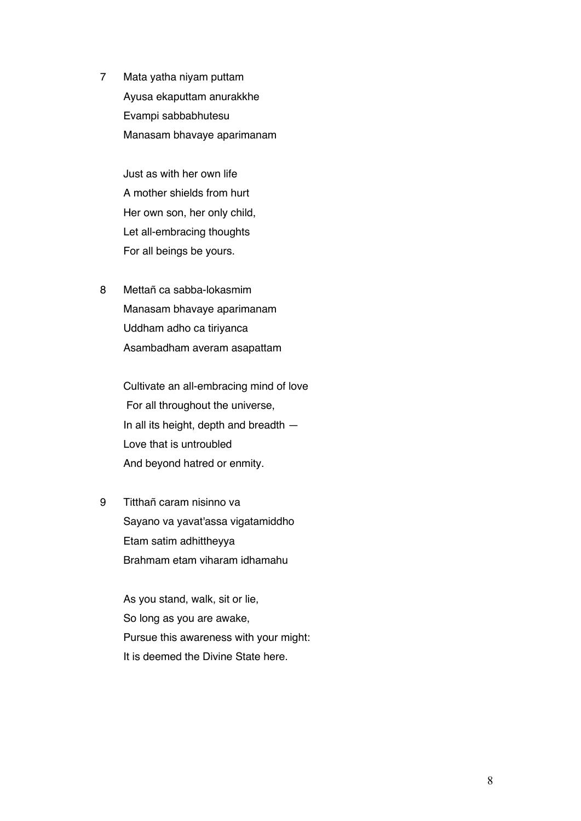7 Mata yatha niyam puttam Ayusa ekaputtam anurakkhe Evampi sabbabhutesu Manasam bhavaye aparimanam

> Just as with her own life A mother shields from hurt Her own son, her only child, Let all-embracing thoughts For all beings be yours.

 8 Mettañ ca sabba-lokasmim Manasam bhavaye aparimanam Uddham adho ca tiriyanca Asambadham averam asapattam

> Cultivate an all-embracing mind of love For all throughout the universe, In all its height, depth and breadth — Love that is untroubled And beyond hatred or enmity.

 9 Titthañ caram nisinno va Sayano va yavat'assa vigatamiddho Etam satim adhittheyya Brahmam etam viharam idhamahu

> As you stand, walk, sit or lie, So long as you are awake, Pursue this awareness with your might: It is deemed the Divine State here.